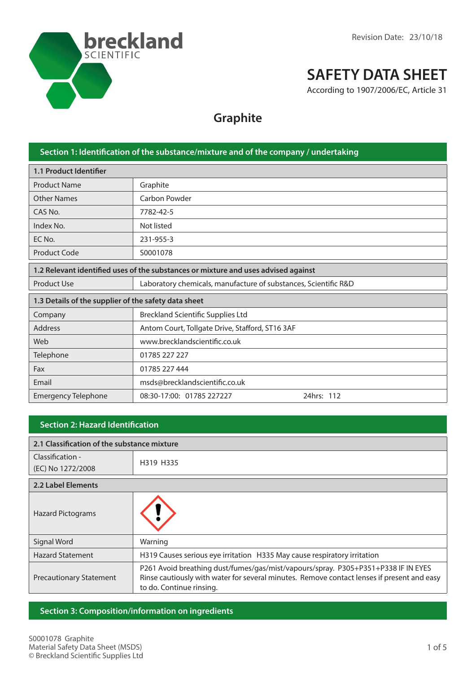

# **SAFETY DATA SHEET**

According to 1907/2006/EC, Article 31

# **Graphite**

| Section 1: Identification of the substance/mixture and of the company / undertaking |                                                                 |  |
|-------------------------------------------------------------------------------------|-----------------------------------------------------------------|--|
| 1.1 Product Identifier                                                              |                                                                 |  |
| <b>Product Name</b>                                                                 | Graphite                                                        |  |
| <b>Other Names</b>                                                                  | Carbon Powder                                                   |  |
| CAS No.                                                                             | 7782-42-5                                                       |  |
| Index No.                                                                           | Not listed                                                      |  |
| EC No.                                                                              | 231-955-3                                                       |  |
| <b>Product Code</b>                                                                 | S0001078                                                        |  |
| 1.2 Relevant identified uses of the substances or mixture and uses advised against  |                                                                 |  |
| <b>Product Use</b>                                                                  | Laboratory chemicals, manufacture of substances, Scientific R&D |  |
| 1.3 Details of the supplier of the safety data sheet                                |                                                                 |  |
| Company                                                                             | <b>Breckland Scientific Supplies Ltd</b>                        |  |
| <b>Address</b>                                                                      | Antom Court, Tollgate Drive, Stafford, ST16 3AF                 |  |
| Web                                                                                 | www.brecklandscientific.co.uk                                   |  |
| Telephone                                                                           | 01785 227 227                                                   |  |
| Fax                                                                                 | 01785 227 444                                                   |  |
| Email                                                                               | msds@brecklandscientific.co.uk                                  |  |
| <b>Emergency Telephone</b>                                                          | 08:30-17:00: 01785 227227<br>24hrs: 112                         |  |

#### **Section 2: Hazard Identification**

| 2.1 Classification of the substance mixture |                                                                                                                                                                                                             |  |
|---------------------------------------------|-------------------------------------------------------------------------------------------------------------------------------------------------------------------------------------------------------------|--|
| Classification -                            | H319 H335                                                                                                                                                                                                   |  |
| (EC) No 1272/2008                           |                                                                                                                                                                                                             |  |
| <b>2.2 Label Elements</b>                   |                                                                                                                                                                                                             |  |
| <b>Hazard Pictograms</b>                    |                                                                                                                                                                                                             |  |
| Signal Word                                 | Warning                                                                                                                                                                                                     |  |
| <b>Hazard Statement</b>                     | H319 Causes serious eye irritation H335 May cause respiratory irritation                                                                                                                                    |  |
| <b>Precautionary Statement</b>              | P261 Avoid breathing dust/fumes/gas/mist/vapours/spray. P305+P351+P338 IF IN EYES<br>Rinse cautiously with water for several minutes. Remove contact lenses if present and easy<br>to do. Continue rinsing. |  |
|                                             |                                                                                                                                                                                                             |  |

**Section 3: Composition/information on ingredients**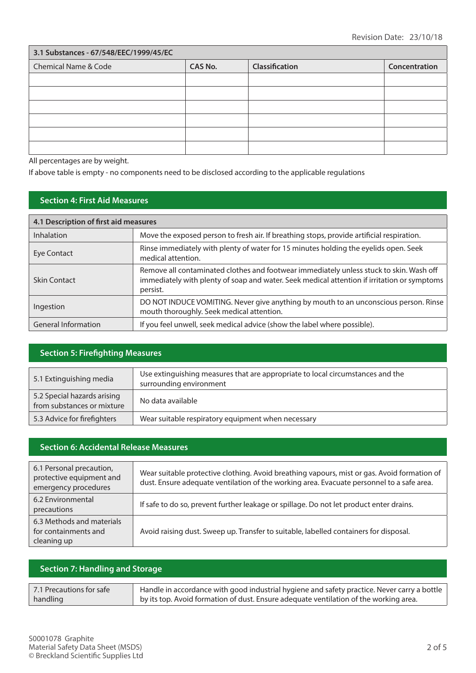| 3.1 Substances - 67/548/EEC/1999/45/EC |                |                |               |
|----------------------------------------|----------------|----------------|---------------|
| Chemical Name & Code                   | <b>CAS No.</b> | Classification | Concentration |
|                                        |                |                |               |
|                                        |                |                |               |
|                                        |                |                |               |
|                                        |                |                |               |
|                                        |                |                |               |
|                                        |                |                |               |

All percentages are by weight.

If above table is empty - no components need to be disclosed according to the applicable regulations

# **Section 4: First Aid Measures**

| 4.1 Description of first aid measures |                                                                                                                                                                                                    |  |
|---------------------------------------|----------------------------------------------------------------------------------------------------------------------------------------------------------------------------------------------------|--|
| Inhalation                            | Move the exposed person to fresh air. If breathing stops, provide artificial respiration.                                                                                                          |  |
| Eye Contact                           | Rinse immediately with plenty of water for 15 minutes holding the eyelids open. Seek<br>medical attention.                                                                                         |  |
| <b>Skin Contact</b>                   | Remove all contaminated clothes and footwear immediately unless stuck to skin. Wash off<br>immediately with plenty of soap and water. Seek medical attention if irritation or symptoms<br>persist. |  |
| Ingestion                             | DO NOT INDUCE VOMITING. Never give anything by mouth to an unconscious person. Rinse<br>mouth thoroughly. Seek medical attention.                                                                  |  |
| <b>General Information</b>            | If you feel unwell, seek medical advice (show the label where possible).                                                                                                                           |  |

## **Section 5: Firefighting Measures**

| 5.1 Extinguishing media                                   | Use extinguishing measures that are appropriate to local circumstances and the<br>surrounding environment |
|-----------------------------------------------------------|-----------------------------------------------------------------------------------------------------------|
| 5.2 Special hazards arising<br>from substances or mixture | No data available                                                                                         |
| 5.3 Advice for firefighters                               | Wear suitable respiratory equipment when necessary                                                        |

#### **Section 6: Accidental Release Measures**

| 6.1 Personal precaution,<br>protective equipment and<br>emergency procedures | Wear suitable protective clothing. Avoid breathing vapours, mist or gas. Avoid formation of<br>dust. Ensure adequate ventilation of the working area. Evacuate personnel to a safe area. |
|------------------------------------------------------------------------------|------------------------------------------------------------------------------------------------------------------------------------------------------------------------------------------|
| 6.2 Environmental<br>precautions                                             | If safe to do so, prevent further leakage or spillage. Do not let product enter drains.                                                                                                  |
| 6.3 Methods and materials<br>for containments and<br>cleaning up             | Avoid raising dust. Sweep up. Transfer to suitable, labelled containers for disposal.                                                                                                    |

| <b>Section 7: Handling and Storage</b> |                                                                                             |  |
|----------------------------------------|---------------------------------------------------------------------------------------------|--|
|                                        |                                                                                             |  |
| 7.1 Precautions for safe               | Handle in accordance with good industrial hygiene and safety practice. Never carry a bottle |  |
| handling                               | by its top. Avoid formation of dust. Ensure adequate ventilation of the working area.       |  |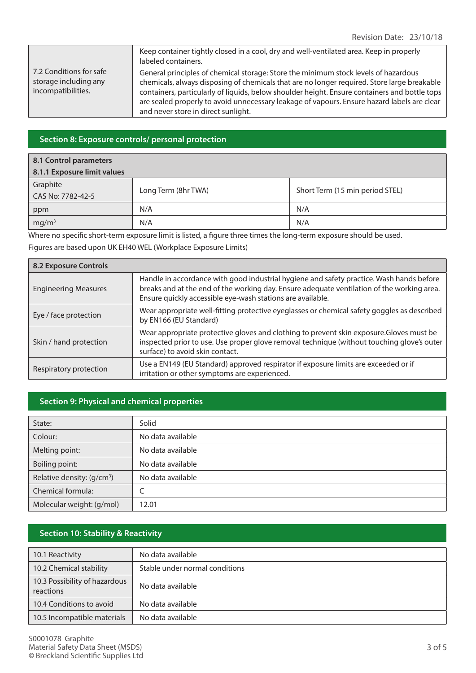|                                                                        | Keep container tightly closed in a cool, dry and well-ventilated area. Keep in properly<br>labeled containers.                                                                                                                                                                                                                                                                                                            |
|------------------------------------------------------------------------|---------------------------------------------------------------------------------------------------------------------------------------------------------------------------------------------------------------------------------------------------------------------------------------------------------------------------------------------------------------------------------------------------------------------------|
| 7.2 Conditions for safe<br>storage including any<br>incompatibilities. | General principles of chemical storage: Store the minimum stock levels of hazardous<br>chemicals, always disposing of chemicals that are no longer required. Store large breakable<br>containers, particularly of liquids, below shoulder height. Ensure containers and bottle tops<br>are sealed properly to avoid unnecessary leakage of vapours. Ensure hazard labels are clear<br>and never store in direct sunlight. |

#### **Section 8: Exposure controls/ personal protection**

#### **8.1 Control parameters**

| 8.1.1 Exposure limit values |                     |                                 |
|-----------------------------|---------------------|---------------------------------|
| Graphite                    | Long Term (8hr TWA) | Short Term (15 min period STEL) |
| CAS No: 7782-42-5           |                     |                                 |
| ppm                         | N/A                 | N/A                             |
| mg/m <sup>3</sup>           | N/A                 | N/A                             |

Where no specific short-term exposure limit is listed, a figure three times the long-term exposure should be used. Figures are based upon UK EH40 WEL (Workplace Exposure Limits)

| 8.2 Exposure Controls       |                                                                                                                                                                                                                                                      |
|-----------------------------|------------------------------------------------------------------------------------------------------------------------------------------------------------------------------------------------------------------------------------------------------|
| <b>Engineering Measures</b> | Handle in accordance with good industrial hygiene and safety practice. Wash hands before<br>breaks and at the end of the working day. Ensure adequate ventilation of the working area.<br>Ensure quickly accessible eye-wash stations are available. |
| Eye / face protection       | Wear appropriate well-fitting protective eyeglasses or chemical safety goggles as described<br>by EN166 (EU Standard)                                                                                                                                |
| Skin / hand protection      | Wear appropriate protective gloves and clothing to prevent skin exposure. Gloves must be<br>inspected prior to use. Use proper glove removal technique (without touching glove's outer<br>surface) to avoid skin contact.                            |
| Respiratory protection      | Use a EN149 (EU Standard) approved respirator if exposure limits are exceeded or if<br>irritation or other symptoms are experienced.                                                                                                                 |

## **Section 9: Physical and chemical properties**

| State:                       | Solid             |
|------------------------------|-------------------|
| Colour:                      | No data available |
| Melting point:               | No data available |
| Boiling point:               | No data available |
| Relative density: $(g/cm^3)$ | No data available |
| Chemical formula:            |                   |
| Molecular weight: (g/mol)    | 12.01             |

# **Section 10: Stability & Reactivity**

| 10.1 Reactivity                            | No data available              |
|--------------------------------------------|--------------------------------|
| 10.2 Chemical stability                    | Stable under normal conditions |
| 10.3 Possibility of hazardous<br>reactions | No data available              |
| 10.4 Conditions to avoid                   | No data available              |
| 10.5 Incompatible materials                | No data available              |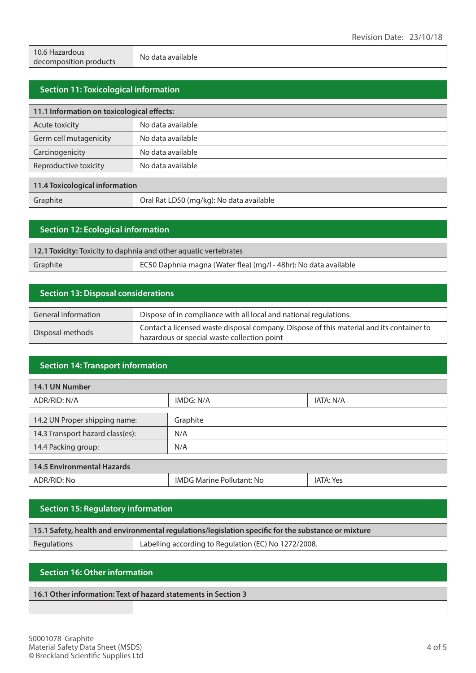| lo data available |  |  |
|-------------------|--|--|
|                   |  |  |

| <b>Section 11: Toxicological information</b> |                                          |  |
|----------------------------------------------|------------------------------------------|--|
| 11.1 Information on toxicological effects:   |                                          |  |
| Acute toxicity                               | No data available                        |  |
| Germ cell mutagenicity                       | No data available                        |  |
| Carcinogenicity                              | No data available                        |  |
| Reproductive toxicity                        | No data available                        |  |
| 11.4 Toxicological information               |                                          |  |
| Graphite                                     | Oral Rat LD50 (mg/kg): No data available |  |

#### **Section 12: Ecological information**

| 12.1 Toxicity: Toxicity to daphnia and other aquatic vertebrates |                                                                  |
|------------------------------------------------------------------|------------------------------------------------------------------|
| Graphite                                                         | EC50 Daphnia magna (Water flea) (mg/l - 48hr): No data available |

#### **Section 13: Disposal considerations**

| General information | Dispose of in compliance with all local and national regulations.                                                                       |
|---------------------|-----------------------------------------------------------------------------------------------------------------------------------------|
| Disposal methods    | Contact a licensed waste disposal company. Dispose of this material and its container to<br>hazardous or special waste collection point |

## **Section 14: Transport information**

| 14.1 UN Number                    |                                  |                  |
|-----------------------------------|----------------------------------|------------------|
| ADR/RID: N/A                      | IMDG: N/A                        | IATA: N/A        |
|                                   |                                  |                  |
| 14.2 UN Proper shipping name:     | Graphite                         |                  |
| 14.3 Transport hazard class(es):  | N/A                              |                  |
| 14.4 Packing group:               | N/A                              |                  |
|                                   |                                  |                  |
| <b>14.5 Environmental Hazards</b> |                                  |                  |
| ADR/RID: No                       | <b>IMDG Marine Pollutant: No</b> | <b>IATA: Yes</b> |

# **Section 15: Regulatory information**

| 15.1 Safety, health and environmental regulations/legislation specific for the substance or mixture |                                                      |
|-----------------------------------------------------------------------------------------------------|------------------------------------------------------|
| Regulations                                                                                         | Labelling according to Regulation (EC) No 1272/2008. |

#### **Section 16: Other information**

**16.1 Other information: Text of hazard statements in Section 3**